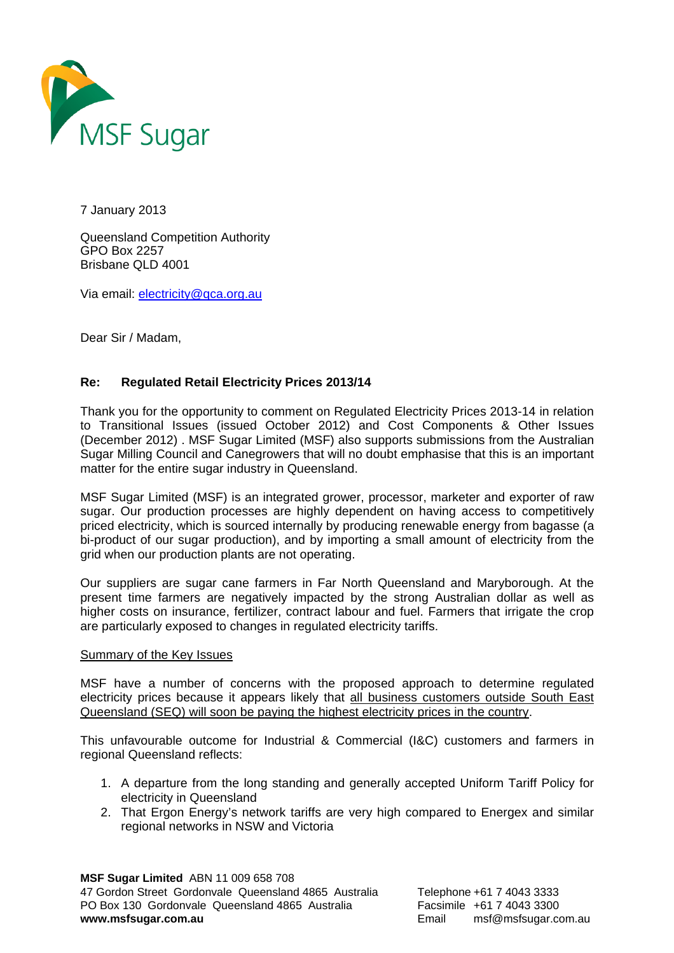

7 January 2013

Queensland Competition Authority GPO Box 2257 Brisbane QLD 4001

Via email: electricity@qca.org.au

Dear Sir / Madam,

# **Re: Regulated Retail Electricity Prices 2013/14**

Thank you for the opportunity to comment on Regulated Electricity Prices 2013-14 in relation to Transitional Issues (issued October 2012) and Cost Components & Other Issues (December 2012) . MSF Sugar Limited (MSF) also supports submissions from the Australian Sugar Milling Council and Canegrowers that will no doubt emphasise that this is an important matter for the entire sugar industry in Queensland.

MSF Sugar Limited (MSF) is an integrated grower, processor, marketer and exporter of raw sugar. Our production processes are highly dependent on having access to competitively priced electricity, which is sourced internally by producing renewable energy from bagasse (a bi-product of our sugar production), and by importing a small amount of electricity from the grid when our production plants are not operating.

Our suppliers are sugar cane farmers in Far North Queensland and Maryborough. At the present time farmers are negatively impacted by the strong Australian dollar as well as higher costs on insurance, fertilizer, contract labour and fuel. Farmers that irrigate the crop are particularly exposed to changes in regulated electricity tariffs.

## Summary of the Key Issues

MSF have a number of concerns with the proposed approach to determine regulated electricity prices because it appears likely that all business customers outside South East Queensland (SEQ) will soon be paying the highest electricity prices in the country.

This unfavourable outcome for Industrial & Commercial (I&C) customers and farmers in regional Queensland reflects:

- 1. A departure from the long standing and generally accepted Uniform Tariff Policy for electricity in Queensland
- 2. That Ergon Energy's network tariffs are very high compared to Energex and similar regional networks in NSW and Victoria

**MSF Sugar Limited** ABN 11 009 658 708 47 Gordon Street Gordonvale Queensland 4865 Australia Telephone +61 7 4043 3333 PO Box 130 Gordonvale Queensland 4865 Australia Facsimile +61 7 4043 3300 **www.msfsugar.com.au** extending the mail msf@msfsugar.com.au extending the mail msf@msfsugar.com.au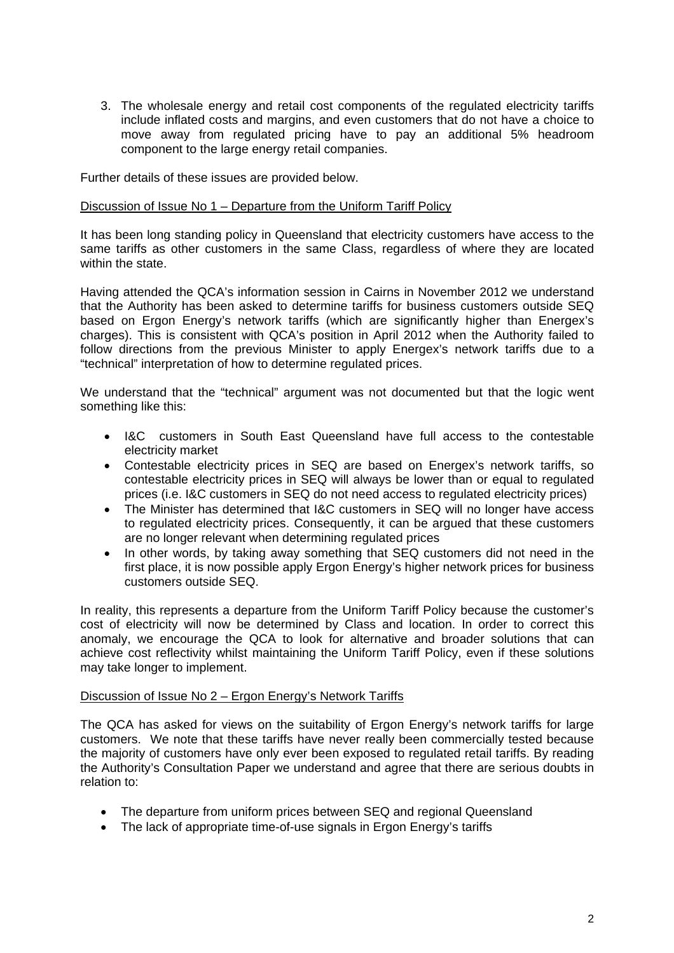3. The wholesale energy and retail cost components of the regulated electricity tariffs include inflated costs and margins, and even customers that do not have a choice to move away from regulated pricing have to pay an additional 5% headroom component to the large energy retail companies.

Further details of these issues are provided below.

#### Discussion of Issue No 1 – Departure from the Uniform Tariff Policy

It has been long standing policy in Queensland that electricity customers have access to the same tariffs as other customers in the same Class, regardless of where they are located within the state.

Having attended the QCA's information session in Cairns in November 2012 we understand that the Authority has been asked to determine tariffs for business customers outside SEQ based on Ergon Energy's network tariffs (which are significantly higher than Energex's charges). This is consistent with QCA's position in April 2012 when the Authority failed to follow directions from the previous Minister to apply Energex's network tariffs due to a "technical" interpretation of how to determine regulated prices.

We understand that the "technical" argument was not documented but that the logic went something like this:

- I&C customers in South East Queensland have full access to the contestable electricity market
- Contestable electricity prices in SEQ are based on Energex's network tariffs, so contestable electricity prices in SEQ will always be lower than or equal to regulated prices (i.e. I&C customers in SEQ do not need access to regulated electricity prices)
- The Minister has determined that I&C customers in SEQ will no longer have access to regulated electricity prices. Consequently, it can be argued that these customers are no longer relevant when determining regulated prices
- In other words, by taking away something that SEQ customers did not need in the first place, it is now possible apply Ergon Energy's higher network prices for business customers outside SEQ.

In reality, this represents a departure from the Uniform Tariff Policy because the customer's cost of electricity will now be determined by Class and location. In order to correct this anomaly, we encourage the QCA to look for alternative and broader solutions that can achieve cost reflectivity whilst maintaining the Uniform Tariff Policy, even if these solutions may take longer to implement.

#### Discussion of Issue No 2 – Ergon Energy's Network Tariffs

The QCA has asked for views on the suitability of Ergon Energy's network tariffs for large customers. We note that these tariffs have never really been commercially tested because the majority of customers have only ever been exposed to regulated retail tariffs. By reading the Authority's Consultation Paper we understand and agree that there are serious doubts in relation to:

- The departure from uniform prices between SEQ and regional Queensland
- The lack of appropriate time-of-use signals in Ergon Energy's tariffs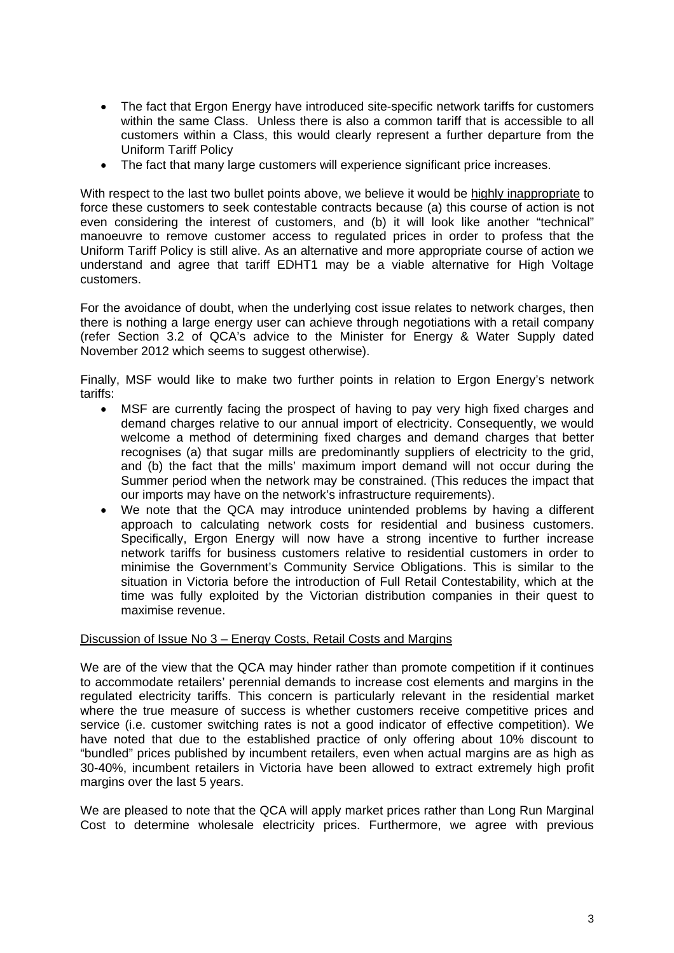- The fact that Ergon Energy have introduced site-specific network tariffs for customers within the same Class. Unless there is also a common tariff that is accessible to all customers within a Class, this would clearly represent a further departure from the Uniform Tariff Policy
- The fact that many large customers will experience significant price increases.

With respect to the last two bullet points above, we believe it would be highly inappropriate to force these customers to seek contestable contracts because (a) this course of action is not even considering the interest of customers, and (b) it will look like another "technical" manoeuvre to remove customer access to regulated prices in order to profess that the Uniform Tariff Policy is still alive. As an alternative and more appropriate course of action we understand and agree that tariff EDHT1 may be a viable alternative for High Voltage customers.

For the avoidance of doubt, when the underlying cost issue relates to network charges, then there is nothing a large energy user can achieve through negotiations with a retail company (refer Section 3.2 of QCA's advice to the Minister for Energy & Water Supply dated November 2012 which seems to suggest otherwise).

Finally, MSF would like to make two further points in relation to Ergon Energy's network tariffs:

- MSF are currently facing the prospect of having to pay very high fixed charges and demand charges relative to our annual import of electricity. Consequently, we would welcome a method of determining fixed charges and demand charges that better recognises (a) that sugar mills are predominantly suppliers of electricity to the grid, and (b) the fact that the mills' maximum import demand will not occur during the Summer period when the network may be constrained. (This reduces the impact that our imports may have on the network's infrastructure requirements).
- We note that the QCA may introduce unintended problems by having a different approach to calculating network costs for residential and business customers. Specifically, Ergon Energy will now have a strong incentive to further increase network tariffs for business customers relative to residential customers in order to minimise the Government's Community Service Obligations. This is similar to the situation in Victoria before the introduction of Full Retail Contestability, which at the time was fully exploited by the Victorian distribution companies in their quest to maximise revenue.

## Discussion of Issue No 3 – Energy Costs, Retail Costs and Margins

We are of the view that the QCA may hinder rather than promote competition if it continues to accommodate retailers' perennial demands to increase cost elements and margins in the regulated electricity tariffs. This concern is particularly relevant in the residential market where the true measure of success is whether customers receive competitive prices and service (i.e. customer switching rates is not a good indicator of effective competition). We have noted that due to the established practice of only offering about 10% discount to "bundled" prices published by incumbent retailers, even when actual margins are as high as 30-40%, incumbent retailers in Victoria have been allowed to extract extremely high profit margins over the last 5 years.

We are pleased to note that the QCA will apply market prices rather than Long Run Marginal Cost to determine wholesale electricity prices. Furthermore, we agree with previous